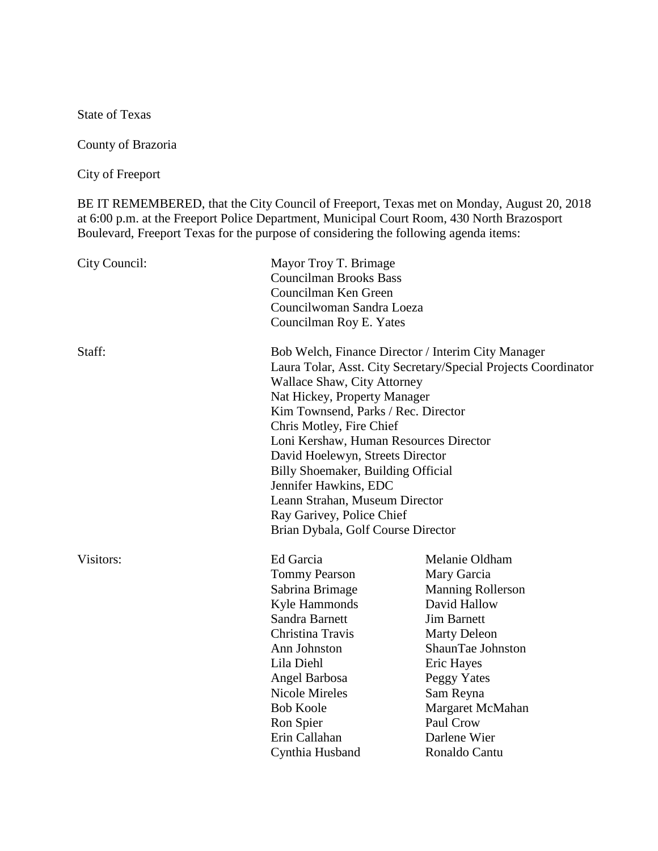State of Texas

County of Brazoria

City of Freeport

BE IT REMEMBERED, that the City Council of Freeport, Texas met on Monday, August 20, 2018 at 6:00 p.m. at the Freeport Police Department, Municipal Court Room, 430 North Brazosport Boulevard, Freeport Texas for the purpose of considering the following agenda items:

| City Council: | Mayor Troy T. Brimage<br><b>Councilman Brooks Bass</b><br>Councilman Ken Green<br>Councilwoman Sandra Loeza<br>Councilman Roy E. Yates                                                                                                                                                                                                                                                                                                                                                                          |                                                                                                                                                                                                                                                         |
|---------------|-----------------------------------------------------------------------------------------------------------------------------------------------------------------------------------------------------------------------------------------------------------------------------------------------------------------------------------------------------------------------------------------------------------------------------------------------------------------------------------------------------------------|---------------------------------------------------------------------------------------------------------------------------------------------------------------------------------------------------------------------------------------------------------|
| Staff:        | Bob Welch, Finance Director / Interim City Manager<br>Laura Tolar, Asst. City Secretary/Special Projects Coordinator<br><b>Wallace Shaw, City Attorney</b><br>Nat Hickey, Property Manager<br>Kim Townsend, Parks / Rec. Director<br>Chris Motley, Fire Chief<br>Loni Kershaw, Human Resources Director<br>David Hoelewyn, Streets Director<br>Billy Shoemaker, Building Official<br>Jennifer Hawkins, EDC<br>Leann Strahan, Museum Director<br>Ray Garivey, Police Chief<br>Brian Dybala, Golf Course Director |                                                                                                                                                                                                                                                         |
| Visitors:     | Ed Garcia<br><b>Tommy Pearson</b><br>Sabrina Brimage<br>Kyle Hammonds<br>Sandra Barnett<br>Christina Travis<br>Ann Johnston<br>Lila Diehl<br>Angel Barbosa<br><b>Nicole Mireles</b><br><b>Bob Koole</b><br>Ron Spier<br>Erin Callahan<br>Cynthia Husband                                                                                                                                                                                                                                                        | Melanie Oldham<br>Mary Garcia<br><b>Manning Rollerson</b><br>David Hallow<br><b>Jim Barnett</b><br><b>Marty Deleon</b><br>ShaunTae Johnston<br>Eric Hayes<br>Peggy Yates<br>Sam Reyna<br>Margaret McMahan<br>Paul Crow<br>Darlene Wier<br>Ronaldo Cantu |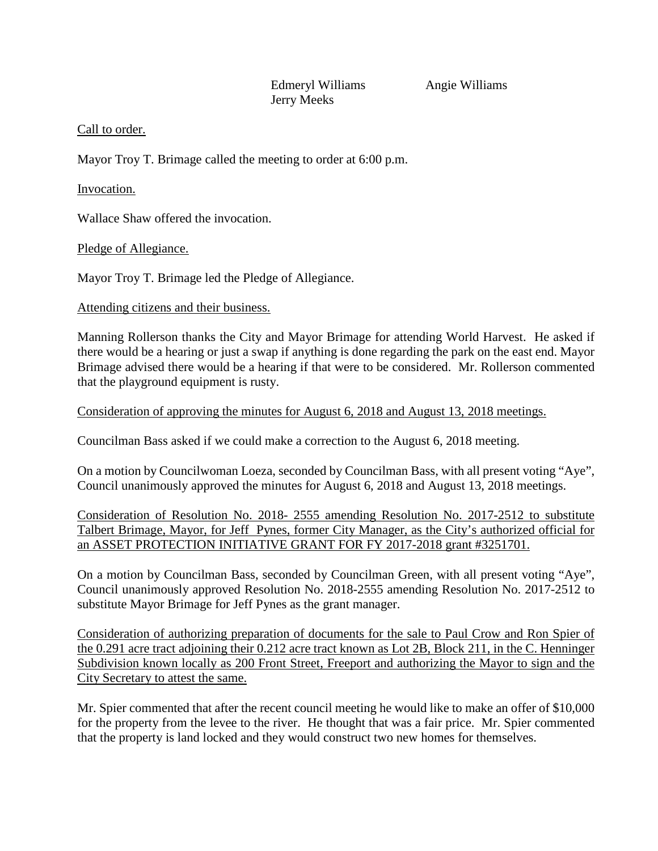Edmeryl Williams Angie Williams Jerry Meeks

## Call to order.

Mayor Troy T. Brimage called the meeting to order at 6:00 p.m.

Invocation.

Wallace Shaw offered the invocation.

Pledge of Allegiance.

Mayor Troy T. Brimage led the Pledge of Allegiance.

## Attending citizens and their business.

Manning Rollerson thanks the City and Mayor Brimage for attending World Harvest. He asked if there would be a hearing or just a swap if anything is done regarding the park on the east end. Mayor Brimage advised there would be a hearing if that were to be considered. Mr. Rollerson commented that the playground equipment is rusty.

Consideration of approving the minutes for August 6, 2018 and August 13, 2018 meetings.

Councilman Bass asked if we could make a correction to the August 6, 2018 meeting.

On a motion by Councilwoman Loeza, seconded by Councilman Bass, with all present voting "Aye", Council unanimously approved the minutes for August 6, 2018 and August 13, 2018 meetings.

Consideration of Resolution No. 2018- 2555 amending Resolution No. 2017-2512 to substitute Talbert Brimage, Mayor, for Jeff Pynes, former City Manager, as the City's authorized official for an ASSET PROTECTION INITIATIVE GRANT FOR FY 2017-2018 grant #3251701.

On a motion by Councilman Bass, seconded by Councilman Green, with all present voting "Aye", Council unanimously approved Resolution No. 2018-2555 amending Resolution No. 2017-2512 to substitute Mayor Brimage for Jeff Pynes as the grant manager.

Consideration of authorizing preparation of documents for the sale to Paul Crow and Ron Spier of the 0.291 acre tract adjoining their 0.212 acre tract known as Lot 2B, Block 211, in the C. Henninger Subdivision known locally as 200 Front Street, Freeport and authorizing the Mayor to sign and the City Secretary to attest the same.

Mr. Spier commented that after the recent council meeting he would like to make an offer of \$10,000 for the property from the levee to the river. He thought that was a fair price. Mr. Spier commented that the property is land locked and they would construct two new homes for themselves.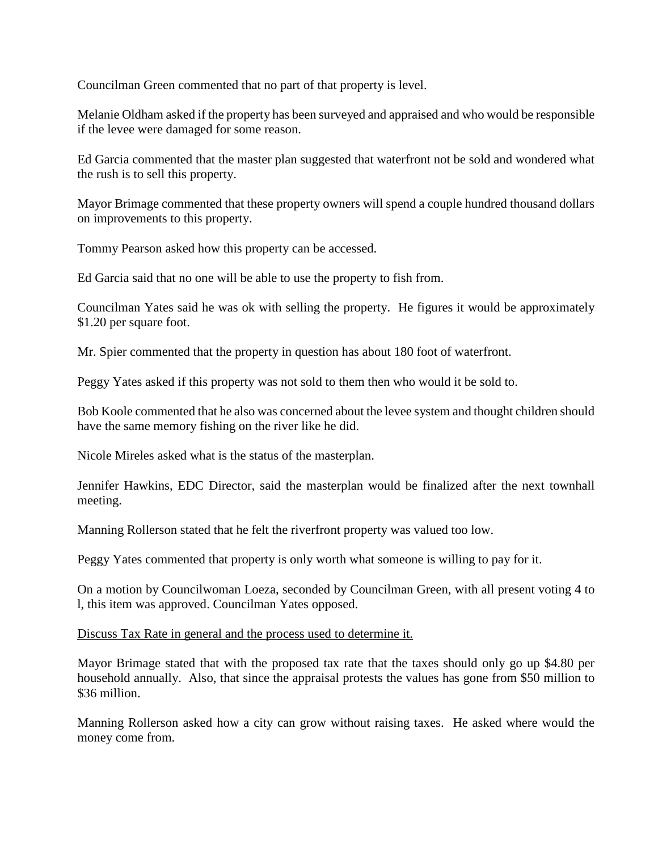Councilman Green commented that no part of that property is level.

Melanie Oldham asked if the property has been surveyed and appraised and who would be responsible if the levee were damaged for some reason.

Ed Garcia commented that the master plan suggested that waterfront not be sold and wondered what the rush is to sell this property.

Mayor Brimage commented that these property owners will spend a couple hundred thousand dollars on improvements to this property.

Tommy Pearson asked how this property can be accessed.

Ed Garcia said that no one will be able to use the property to fish from.

Councilman Yates said he was ok with selling the property. He figures it would be approximately \$1.20 per square foot.

Mr. Spier commented that the property in question has about 180 foot of waterfront.

Peggy Yates asked if this property was not sold to them then who would it be sold to.

Bob Koole commented that he also was concerned about the levee system and thought children should have the same memory fishing on the river like he did.

Nicole Mireles asked what is the status of the masterplan.

Jennifer Hawkins, EDC Director, said the masterplan would be finalized after the next townhall meeting.

Manning Rollerson stated that he felt the riverfront property was valued too low.

Peggy Yates commented that property is only worth what someone is willing to pay for it.

On a motion by Councilwoman Loeza, seconded by Councilman Green, with all present voting 4 to l, this item was approved. Councilman Yates opposed.

Discuss Tax Rate in general and the process used to determine it.

Mayor Brimage stated that with the proposed tax rate that the taxes should only go up \$4.80 per household annually. Also, that since the appraisal protests the values has gone from \$50 million to \$36 million.

Manning Rollerson asked how a city can grow without raising taxes. He asked where would the money come from.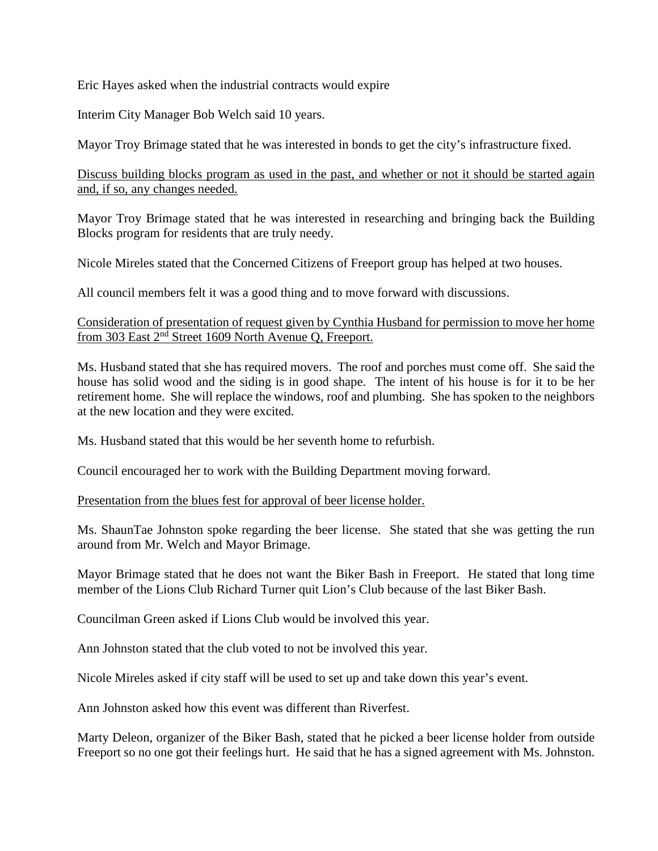Eric Hayes asked when the industrial contracts would expire

Interim City Manager Bob Welch said 10 years.

Mayor Troy Brimage stated that he was interested in bonds to get the city's infrastructure fixed.

Discuss building blocks program as used in the past, and whether or not it should be started again and, if so, any changes needed.

Mayor Troy Brimage stated that he was interested in researching and bringing back the Building Blocks program for residents that are truly needy.

Nicole Mireles stated that the Concerned Citizens of Freeport group has helped at two houses.

All council members felt it was a good thing and to move forward with discussions.

Consideration of presentation of request given by Cynthia Husband for permission to move her home from 303 East 2nd Street 1609 North Avenue Q, Freeport.

Ms. Husband stated that she has required movers. The roof and porches must come off. She said the house has solid wood and the siding is in good shape. The intent of his house is for it to be her retirement home. She will replace the windows, roof and plumbing. She has spoken to the neighbors at the new location and they were excited.

Ms. Husband stated that this would be her seventh home to refurbish.

Council encouraged her to work with the Building Department moving forward.

Presentation from the blues fest for approval of beer license holder.

Ms. ShaunTae Johnston spoke regarding the beer license. She stated that she was getting the run around from Mr. Welch and Mayor Brimage.

Mayor Brimage stated that he does not want the Biker Bash in Freeport. He stated that long time member of the Lions Club Richard Turner quit Lion's Club because of the last Biker Bash.

Councilman Green asked if Lions Club would be involved this year.

Ann Johnston stated that the club voted to not be involved this year.

Nicole Mireles asked if city staff will be used to set up and take down this year's event.

Ann Johnston asked how this event was different than Riverfest.

Marty Deleon, organizer of the Biker Bash, stated that he picked a beer license holder from outside Freeport so no one got their feelings hurt. He said that he has a signed agreement with Ms. Johnston.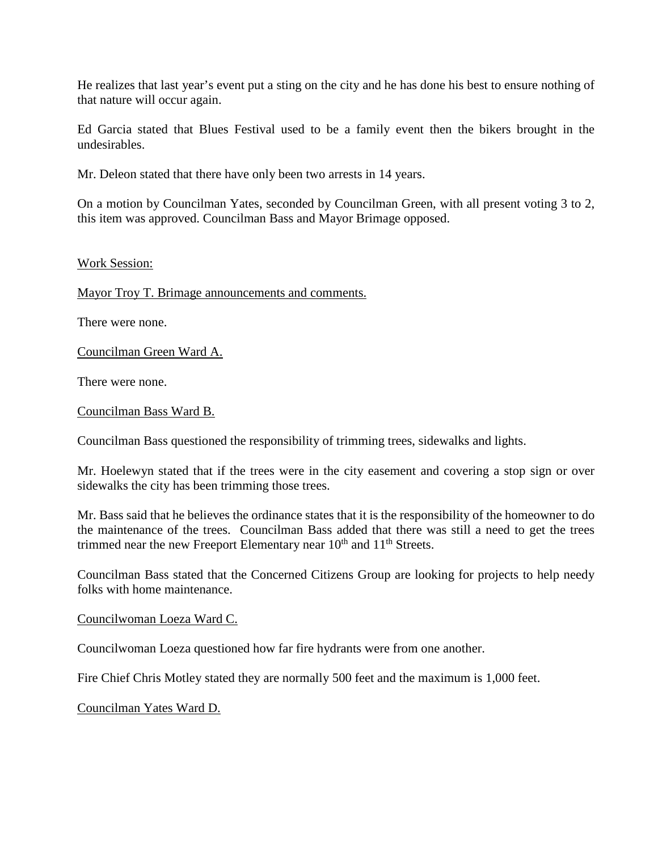He realizes that last year's event put a sting on the city and he has done his best to ensure nothing of that nature will occur again.

Ed Garcia stated that Blues Festival used to be a family event then the bikers brought in the undesirables.

Mr. Deleon stated that there have only been two arrests in 14 years.

On a motion by Councilman Yates, seconded by Councilman Green, with all present voting 3 to 2, this item was approved. Councilman Bass and Mayor Brimage opposed.

## Work Session:

Mayor Troy T. Brimage announcements and comments.

There were none.

Councilman Green Ward A.

There were none.

Councilman Bass Ward B.

Councilman Bass questioned the responsibility of trimming trees, sidewalks and lights.

Mr. Hoelewyn stated that if the trees were in the city easement and covering a stop sign or over sidewalks the city has been trimming those trees.

Mr. Bass said that he believes the ordinance states that it is the responsibility of the homeowner to do the maintenance of the trees. Councilman Bass added that there was still a need to get the trees trimmed near the new Freeport Elementary near  $10<sup>th</sup>$  and  $11<sup>th</sup>$  Streets.

Councilman Bass stated that the Concerned Citizens Group are looking for projects to help needy folks with home maintenance.

Councilwoman Loeza Ward C.

Councilwoman Loeza questioned how far fire hydrants were from one another.

Fire Chief Chris Motley stated they are normally 500 feet and the maximum is 1,000 feet.

Councilman Yates Ward D.